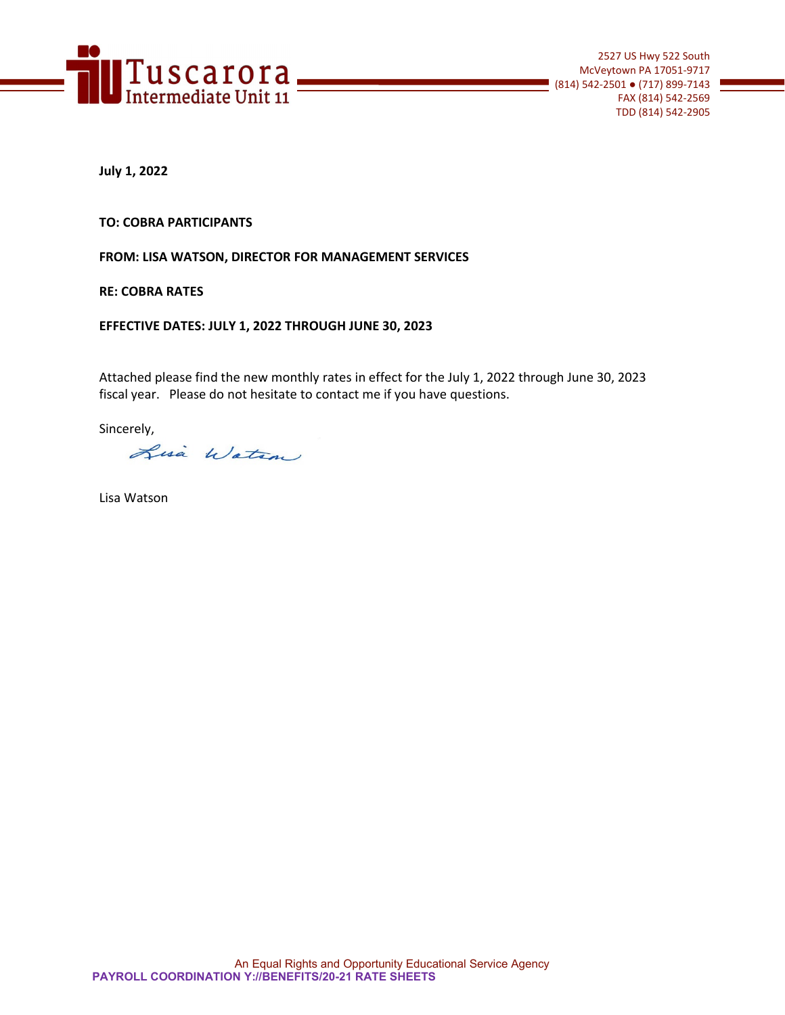

**July 1, 2022**

**TO: COBRA PARTICIPANTS**

**FROM: LISA WATSON, DIRECTOR FOR MANAGEMENT SERVICES**

**RE: COBRA RATES** 

**EFFECTIVE DATES: JULY 1, 2022 THROUGH JUNE 30, 2023**

Attached please find the new monthly rates in effect for the July 1, 2022 through June 30, 2023 fiscal year. Please do not hesitate to contact me if you have questions.

Sincerely,

Lisa Watson

Lisa Watson